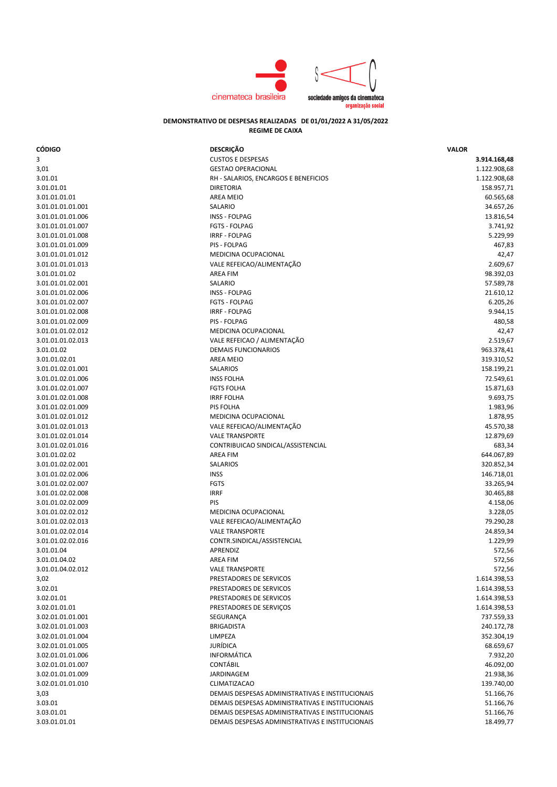

## **DEMONSTRATIVO DE DESPESAS REALIZADAS DE 01/01/2022 A 31/05/2022 REGIME DE CAIXA**

| 3<br><b>CUSTOS E DESPESAS</b><br>3.914.168,48<br><b>GESTAO OPERACIONAL</b><br>1.122.908,68<br>3,01<br>1.122.908,68<br>3.01.01<br>RH - SALARIOS, ENCARGOS E BENEFICIOS<br>3.01.01.01<br><b>DIRETORIA</b><br>158.957,71<br><b>AREA MEIO</b><br>60.565,68<br>3.01.01.01.01<br>SALARIO<br>34.657,26<br>3.01.01.01.01.001<br>13.816,54<br>3.01.01.01.01.006<br>INSS - FOLPAG<br>3.741,92<br>3.01.01.01.01.007<br><b>FGTS - FOLPAG</b><br>5.229,99<br><b>IRRF - FOLPAG</b><br>3.01.01.01.01.008<br><b>PIS - FOLPAG</b><br>467,83<br>3.01.01.01.01.009<br>MEDICINA OCUPACIONAL<br>3.01.01.01.01.012<br>42,47<br>VALE REFEICAO/ALIMENTAÇÃO<br>2.609,67<br>3.01.01.01.01.013<br><b>AREA FIM</b><br>98.392,03<br>3.01.01.01.02<br>3.01.01.01.02.001<br>SALARIO<br>57.589,78<br><b>INSS - FOLPAG</b><br>21.610,12<br>3.01.01.01.02.006<br><b>FGTS - FOLPAG</b><br>6.205,26<br>3.01.01.01.02.007<br><b>IRRF - FOLPAG</b><br>9.944,15<br>3.01.01.01.02.008<br>PIS - FOLPAG<br>3.01.01.01.02.009<br>480,58<br>MEDICINA OCUPACIONAL<br>3.01.01.01.02.012<br>42,47<br>VALE REFEICAO / ALIMENTAÇÃO<br>2.519,67<br>3.01.01.01.02.013<br><b>DEMAIS FUNCIONARIOS</b><br>963.378,41<br>3.01.01.02<br><b>AREA MEIO</b><br>3.01.01.02.01<br>319.310,52<br>3.01.01.02.01.001<br>SALARIOS<br>158.199,21<br>3.01.01.02.01.006<br><b>INSS FOLHA</b><br>72.549,61<br>15.871,63<br>3.01.01.02.01.007<br><b>FGTS FOLHA</b><br><b>IRRF FOLHA</b><br>9.693,75<br>3.01.01.02.01.008<br>1.983,96<br>3.01.01.02.01.009<br>PIS FOLHA<br>MEDICINA OCUPACIONAL<br>1.878,95<br>3.01.01.02.01.012<br>VALE REFEICAO/ALIMENTAÇÃO<br>45.570,38<br>3.01.01.02.01.013<br>12.879,69<br><b>VALE TRANSPORTE</b><br>3.01.01.02.01.014<br>CONTRIBUICAO SINDICAL/ASSISTENCIAL<br>3.01.01.02.01.016<br>683,34<br><b>AREA FIM</b><br>644.067,89<br>3.01.01.02.02<br><b>SALARIOS</b><br>320.852,34<br>3.01.01.02.02.001<br><b>INSS</b><br>146.718,01<br>3.01.01.02.02.006<br><b>FGTS</b><br>33.265,94<br>3.01.01.02.02.007<br><b>IRRF</b><br>30.465,88<br>3.01.01.02.02.008<br>3.01.01.02.02.009<br>PIS<br>4.158,06<br>3.228,05<br>3.01.01.02.02.012<br>MEDICINA OCUPACIONAL<br>VALE REFEICAO/ALIMENTAÇÃO<br>79.290,28<br>3.01.01.02.02.013<br>24.859,34<br><b>VALE TRANSPORTE</b><br>3.01.01.02.02.014<br>3.01.01.02.02.016<br>CONTR.SINDICAL/ASSISTENCIAL<br>1.229,99<br>3.01.01.04<br>APRENDIZ<br>572,56<br>572,56<br>3.01.01.04.02<br>AREA FIM<br>3.01.01.04.02.012<br><b>VALE TRANSPORTE</b><br>572,56<br>3,02<br>1.614.398,53<br>PRESTADORES DE SERVICOS<br>3.02.01<br>PRESTADORES DE SERVICOS<br>1.614.398,53<br>3.02.01.01<br>PRESTADORES DE SERVICOS<br>1.614.398,53<br>3.02.01.01.01<br>PRESTADORES DE SERVIÇOS<br>1.614.398,53<br>737.559,33<br>3.02.01.01.01.001<br>SEGURANÇA<br><b>BRIGADISTA</b><br>240.172,78<br>3.02.01.01.01.003<br>LIMPEZA<br>352.304,19<br>3.02.01.01.01.004<br>JURÍDICA<br>68.659,67<br>3.02.01.01.01.005<br>INFORMÁTICA<br>7.932,20<br>3.02.01.01.01.006<br>CONTÁBIL<br>46.092,00<br>3.02.01.01.01.007<br><b>JARDINAGEM</b><br>21.938,36<br>3.02.01.01.01.009<br>3.02.01.01.01.010<br><b>CLIMATIZACAO</b><br>139.740,00<br>3,03<br>DEMAIS DESPESAS ADMINISTRATIVAS E INSTITUCIONAIS<br>51.166,76<br>3.03.01<br>DEMAIS DESPESAS ADMINISTRATIVAS E INSTITUCIONAIS<br>51.166,76<br>3.03.01.01<br>DEMAIS DESPESAS ADMINISTRATIVAS E INSTITUCIONAIS<br>51.166,76<br>3.03.01.01.01<br>DEMAIS DESPESAS ADMINISTRATIVAS E INSTITUCIONAIS<br>18.499,77 | <b>CÓDIGO</b> | <b>DESCRIÇÃO</b> | <b>VALOR</b> |
|------------------------------------------------------------------------------------------------------------------------------------------------------------------------------------------------------------------------------------------------------------------------------------------------------------------------------------------------------------------------------------------------------------------------------------------------------------------------------------------------------------------------------------------------------------------------------------------------------------------------------------------------------------------------------------------------------------------------------------------------------------------------------------------------------------------------------------------------------------------------------------------------------------------------------------------------------------------------------------------------------------------------------------------------------------------------------------------------------------------------------------------------------------------------------------------------------------------------------------------------------------------------------------------------------------------------------------------------------------------------------------------------------------------------------------------------------------------------------------------------------------------------------------------------------------------------------------------------------------------------------------------------------------------------------------------------------------------------------------------------------------------------------------------------------------------------------------------------------------------------------------------------------------------------------------------------------------------------------------------------------------------------------------------------------------------------------------------------------------------------------------------------------------------------------------------------------------------------------------------------------------------------------------------------------------------------------------------------------------------------------------------------------------------------------------------------------------------------------------------------------------------------------------------------------------------------------------------------------------------------------------------------------------------------------------------------------------------------------------------------------------------------------------------------------------------------------------------------------------------------------------------------------------------------------------------------------------------------------------------------------------------------------------------------------------------------------------------------------------------------------------------------------------------------------------------------------------------------------------------------------------------------------------------------------------------------------------------------------------------------------------------------------------------------------|---------------|------------------|--------------|
|                                                                                                                                                                                                                                                                                                                                                                                                                                                                                                                                                                                                                                                                                                                                                                                                                                                                                                                                                                                                                                                                                                                                                                                                                                                                                                                                                                                                                                                                                                                                                                                                                                                                                                                                                                                                                                                                                                                                                                                                                                                                                                                                                                                                                                                                                                                                                                                                                                                                                                                                                                                                                                                                                                                                                                                                                                                                                                                                                                                                                                                                                                                                                                                                                                                                                                                                                                                                                              |               |                  |              |
|                                                                                                                                                                                                                                                                                                                                                                                                                                                                                                                                                                                                                                                                                                                                                                                                                                                                                                                                                                                                                                                                                                                                                                                                                                                                                                                                                                                                                                                                                                                                                                                                                                                                                                                                                                                                                                                                                                                                                                                                                                                                                                                                                                                                                                                                                                                                                                                                                                                                                                                                                                                                                                                                                                                                                                                                                                                                                                                                                                                                                                                                                                                                                                                                                                                                                                                                                                                                                              |               |                  |              |
|                                                                                                                                                                                                                                                                                                                                                                                                                                                                                                                                                                                                                                                                                                                                                                                                                                                                                                                                                                                                                                                                                                                                                                                                                                                                                                                                                                                                                                                                                                                                                                                                                                                                                                                                                                                                                                                                                                                                                                                                                                                                                                                                                                                                                                                                                                                                                                                                                                                                                                                                                                                                                                                                                                                                                                                                                                                                                                                                                                                                                                                                                                                                                                                                                                                                                                                                                                                                                              |               |                  |              |
|                                                                                                                                                                                                                                                                                                                                                                                                                                                                                                                                                                                                                                                                                                                                                                                                                                                                                                                                                                                                                                                                                                                                                                                                                                                                                                                                                                                                                                                                                                                                                                                                                                                                                                                                                                                                                                                                                                                                                                                                                                                                                                                                                                                                                                                                                                                                                                                                                                                                                                                                                                                                                                                                                                                                                                                                                                                                                                                                                                                                                                                                                                                                                                                                                                                                                                                                                                                                                              |               |                  |              |
|                                                                                                                                                                                                                                                                                                                                                                                                                                                                                                                                                                                                                                                                                                                                                                                                                                                                                                                                                                                                                                                                                                                                                                                                                                                                                                                                                                                                                                                                                                                                                                                                                                                                                                                                                                                                                                                                                                                                                                                                                                                                                                                                                                                                                                                                                                                                                                                                                                                                                                                                                                                                                                                                                                                                                                                                                                                                                                                                                                                                                                                                                                                                                                                                                                                                                                                                                                                                                              |               |                  |              |
|                                                                                                                                                                                                                                                                                                                                                                                                                                                                                                                                                                                                                                                                                                                                                                                                                                                                                                                                                                                                                                                                                                                                                                                                                                                                                                                                                                                                                                                                                                                                                                                                                                                                                                                                                                                                                                                                                                                                                                                                                                                                                                                                                                                                                                                                                                                                                                                                                                                                                                                                                                                                                                                                                                                                                                                                                                                                                                                                                                                                                                                                                                                                                                                                                                                                                                                                                                                                                              |               |                  |              |
|                                                                                                                                                                                                                                                                                                                                                                                                                                                                                                                                                                                                                                                                                                                                                                                                                                                                                                                                                                                                                                                                                                                                                                                                                                                                                                                                                                                                                                                                                                                                                                                                                                                                                                                                                                                                                                                                                                                                                                                                                                                                                                                                                                                                                                                                                                                                                                                                                                                                                                                                                                                                                                                                                                                                                                                                                                                                                                                                                                                                                                                                                                                                                                                                                                                                                                                                                                                                                              |               |                  |              |
|                                                                                                                                                                                                                                                                                                                                                                                                                                                                                                                                                                                                                                                                                                                                                                                                                                                                                                                                                                                                                                                                                                                                                                                                                                                                                                                                                                                                                                                                                                                                                                                                                                                                                                                                                                                                                                                                                                                                                                                                                                                                                                                                                                                                                                                                                                                                                                                                                                                                                                                                                                                                                                                                                                                                                                                                                                                                                                                                                                                                                                                                                                                                                                                                                                                                                                                                                                                                                              |               |                  |              |
|                                                                                                                                                                                                                                                                                                                                                                                                                                                                                                                                                                                                                                                                                                                                                                                                                                                                                                                                                                                                                                                                                                                                                                                                                                                                                                                                                                                                                                                                                                                                                                                                                                                                                                                                                                                                                                                                                                                                                                                                                                                                                                                                                                                                                                                                                                                                                                                                                                                                                                                                                                                                                                                                                                                                                                                                                                                                                                                                                                                                                                                                                                                                                                                                                                                                                                                                                                                                                              |               |                  |              |
|                                                                                                                                                                                                                                                                                                                                                                                                                                                                                                                                                                                                                                                                                                                                                                                                                                                                                                                                                                                                                                                                                                                                                                                                                                                                                                                                                                                                                                                                                                                                                                                                                                                                                                                                                                                                                                                                                                                                                                                                                                                                                                                                                                                                                                                                                                                                                                                                                                                                                                                                                                                                                                                                                                                                                                                                                                                                                                                                                                                                                                                                                                                                                                                                                                                                                                                                                                                                                              |               |                  |              |
|                                                                                                                                                                                                                                                                                                                                                                                                                                                                                                                                                                                                                                                                                                                                                                                                                                                                                                                                                                                                                                                                                                                                                                                                                                                                                                                                                                                                                                                                                                                                                                                                                                                                                                                                                                                                                                                                                                                                                                                                                                                                                                                                                                                                                                                                                                                                                                                                                                                                                                                                                                                                                                                                                                                                                                                                                                                                                                                                                                                                                                                                                                                                                                                                                                                                                                                                                                                                                              |               |                  |              |
|                                                                                                                                                                                                                                                                                                                                                                                                                                                                                                                                                                                                                                                                                                                                                                                                                                                                                                                                                                                                                                                                                                                                                                                                                                                                                                                                                                                                                                                                                                                                                                                                                                                                                                                                                                                                                                                                                                                                                                                                                                                                                                                                                                                                                                                                                                                                                                                                                                                                                                                                                                                                                                                                                                                                                                                                                                                                                                                                                                                                                                                                                                                                                                                                                                                                                                                                                                                                                              |               |                  |              |
|                                                                                                                                                                                                                                                                                                                                                                                                                                                                                                                                                                                                                                                                                                                                                                                                                                                                                                                                                                                                                                                                                                                                                                                                                                                                                                                                                                                                                                                                                                                                                                                                                                                                                                                                                                                                                                                                                                                                                                                                                                                                                                                                                                                                                                                                                                                                                                                                                                                                                                                                                                                                                                                                                                                                                                                                                                                                                                                                                                                                                                                                                                                                                                                                                                                                                                                                                                                                                              |               |                  |              |
|                                                                                                                                                                                                                                                                                                                                                                                                                                                                                                                                                                                                                                                                                                                                                                                                                                                                                                                                                                                                                                                                                                                                                                                                                                                                                                                                                                                                                                                                                                                                                                                                                                                                                                                                                                                                                                                                                                                                                                                                                                                                                                                                                                                                                                                                                                                                                                                                                                                                                                                                                                                                                                                                                                                                                                                                                                                                                                                                                                                                                                                                                                                                                                                                                                                                                                                                                                                                                              |               |                  |              |
|                                                                                                                                                                                                                                                                                                                                                                                                                                                                                                                                                                                                                                                                                                                                                                                                                                                                                                                                                                                                                                                                                                                                                                                                                                                                                                                                                                                                                                                                                                                                                                                                                                                                                                                                                                                                                                                                                                                                                                                                                                                                                                                                                                                                                                                                                                                                                                                                                                                                                                                                                                                                                                                                                                                                                                                                                                                                                                                                                                                                                                                                                                                                                                                                                                                                                                                                                                                                                              |               |                  |              |
|                                                                                                                                                                                                                                                                                                                                                                                                                                                                                                                                                                                                                                                                                                                                                                                                                                                                                                                                                                                                                                                                                                                                                                                                                                                                                                                                                                                                                                                                                                                                                                                                                                                                                                                                                                                                                                                                                                                                                                                                                                                                                                                                                                                                                                                                                                                                                                                                                                                                                                                                                                                                                                                                                                                                                                                                                                                                                                                                                                                                                                                                                                                                                                                                                                                                                                                                                                                                                              |               |                  |              |
|                                                                                                                                                                                                                                                                                                                                                                                                                                                                                                                                                                                                                                                                                                                                                                                                                                                                                                                                                                                                                                                                                                                                                                                                                                                                                                                                                                                                                                                                                                                                                                                                                                                                                                                                                                                                                                                                                                                                                                                                                                                                                                                                                                                                                                                                                                                                                                                                                                                                                                                                                                                                                                                                                                                                                                                                                                                                                                                                                                                                                                                                                                                                                                                                                                                                                                                                                                                                                              |               |                  |              |
|                                                                                                                                                                                                                                                                                                                                                                                                                                                                                                                                                                                                                                                                                                                                                                                                                                                                                                                                                                                                                                                                                                                                                                                                                                                                                                                                                                                                                                                                                                                                                                                                                                                                                                                                                                                                                                                                                                                                                                                                                                                                                                                                                                                                                                                                                                                                                                                                                                                                                                                                                                                                                                                                                                                                                                                                                                                                                                                                                                                                                                                                                                                                                                                                                                                                                                                                                                                                                              |               |                  |              |
|                                                                                                                                                                                                                                                                                                                                                                                                                                                                                                                                                                                                                                                                                                                                                                                                                                                                                                                                                                                                                                                                                                                                                                                                                                                                                                                                                                                                                                                                                                                                                                                                                                                                                                                                                                                                                                                                                                                                                                                                                                                                                                                                                                                                                                                                                                                                                                                                                                                                                                                                                                                                                                                                                                                                                                                                                                                                                                                                                                                                                                                                                                                                                                                                                                                                                                                                                                                                                              |               |                  |              |
|                                                                                                                                                                                                                                                                                                                                                                                                                                                                                                                                                                                                                                                                                                                                                                                                                                                                                                                                                                                                                                                                                                                                                                                                                                                                                                                                                                                                                                                                                                                                                                                                                                                                                                                                                                                                                                                                                                                                                                                                                                                                                                                                                                                                                                                                                                                                                                                                                                                                                                                                                                                                                                                                                                                                                                                                                                                                                                                                                                                                                                                                                                                                                                                                                                                                                                                                                                                                                              |               |                  |              |
|                                                                                                                                                                                                                                                                                                                                                                                                                                                                                                                                                                                                                                                                                                                                                                                                                                                                                                                                                                                                                                                                                                                                                                                                                                                                                                                                                                                                                                                                                                                                                                                                                                                                                                                                                                                                                                                                                                                                                                                                                                                                                                                                                                                                                                                                                                                                                                                                                                                                                                                                                                                                                                                                                                                                                                                                                                                                                                                                                                                                                                                                                                                                                                                                                                                                                                                                                                                                                              |               |                  |              |
|                                                                                                                                                                                                                                                                                                                                                                                                                                                                                                                                                                                                                                                                                                                                                                                                                                                                                                                                                                                                                                                                                                                                                                                                                                                                                                                                                                                                                                                                                                                                                                                                                                                                                                                                                                                                                                                                                                                                                                                                                                                                                                                                                                                                                                                                                                                                                                                                                                                                                                                                                                                                                                                                                                                                                                                                                                                                                                                                                                                                                                                                                                                                                                                                                                                                                                                                                                                                                              |               |                  |              |
|                                                                                                                                                                                                                                                                                                                                                                                                                                                                                                                                                                                                                                                                                                                                                                                                                                                                                                                                                                                                                                                                                                                                                                                                                                                                                                                                                                                                                                                                                                                                                                                                                                                                                                                                                                                                                                                                                                                                                                                                                                                                                                                                                                                                                                                                                                                                                                                                                                                                                                                                                                                                                                                                                                                                                                                                                                                                                                                                                                                                                                                                                                                                                                                                                                                                                                                                                                                                                              |               |                  |              |
|                                                                                                                                                                                                                                                                                                                                                                                                                                                                                                                                                                                                                                                                                                                                                                                                                                                                                                                                                                                                                                                                                                                                                                                                                                                                                                                                                                                                                                                                                                                                                                                                                                                                                                                                                                                                                                                                                                                                                                                                                                                                                                                                                                                                                                                                                                                                                                                                                                                                                                                                                                                                                                                                                                                                                                                                                                                                                                                                                                                                                                                                                                                                                                                                                                                                                                                                                                                                                              |               |                  |              |
|                                                                                                                                                                                                                                                                                                                                                                                                                                                                                                                                                                                                                                                                                                                                                                                                                                                                                                                                                                                                                                                                                                                                                                                                                                                                                                                                                                                                                                                                                                                                                                                                                                                                                                                                                                                                                                                                                                                                                                                                                                                                                                                                                                                                                                                                                                                                                                                                                                                                                                                                                                                                                                                                                                                                                                                                                                                                                                                                                                                                                                                                                                                                                                                                                                                                                                                                                                                                                              |               |                  |              |
|                                                                                                                                                                                                                                                                                                                                                                                                                                                                                                                                                                                                                                                                                                                                                                                                                                                                                                                                                                                                                                                                                                                                                                                                                                                                                                                                                                                                                                                                                                                                                                                                                                                                                                                                                                                                                                                                                                                                                                                                                                                                                                                                                                                                                                                                                                                                                                                                                                                                                                                                                                                                                                                                                                                                                                                                                                                                                                                                                                                                                                                                                                                                                                                                                                                                                                                                                                                                                              |               |                  |              |
|                                                                                                                                                                                                                                                                                                                                                                                                                                                                                                                                                                                                                                                                                                                                                                                                                                                                                                                                                                                                                                                                                                                                                                                                                                                                                                                                                                                                                                                                                                                                                                                                                                                                                                                                                                                                                                                                                                                                                                                                                                                                                                                                                                                                                                                                                                                                                                                                                                                                                                                                                                                                                                                                                                                                                                                                                                                                                                                                                                                                                                                                                                                                                                                                                                                                                                                                                                                                                              |               |                  |              |
|                                                                                                                                                                                                                                                                                                                                                                                                                                                                                                                                                                                                                                                                                                                                                                                                                                                                                                                                                                                                                                                                                                                                                                                                                                                                                                                                                                                                                                                                                                                                                                                                                                                                                                                                                                                                                                                                                                                                                                                                                                                                                                                                                                                                                                                                                                                                                                                                                                                                                                                                                                                                                                                                                                                                                                                                                                                                                                                                                                                                                                                                                                                                                                                                                                                                                                                                                                                                                              |               |                  |              |
|                                                                                                                                                                                                                                                                                                                                                                                                                                                                                                                                                                                                                                                                                                                                                                                                                                                                                                                                                                                                                                                                                                                                                                                                                                                                                                                                                                                                                                                                                                                                                                                                                                                                                                                                                                                                                                                                                                                                                                                                                                                                                                                                                                                                                                                                                                                                                                                                                                                                                                                                                                                                                                                                                                                                                                                                                                                                                                                                                                                                                                                                                                                                                                                                                                                                                                                                                                                                                              |               |                  |              |
|                                                                                                                                                                                                                                                                                                                                                                                                                                                                                                                                                                                                                                                                                                                                                                                                                                                                                                                                                                                                                                                                                                                                                                                                                                                                                                                                                                                                                                                                                                                                                                                                                                                                                                                                                                                                                                                                                                                                                                                                                                                                                                                                                                                                                                                                                                                                                                                                                                                                                                                                                                                                                                                                                                                                                                                                                                                                                                                                                                                                                                                                                                                                                                                                                                                                                                                                                                                                                              |               |                  |              |
|                                                                                                                                                                                                                                                                                                                                                                                                                                                                                                                                                                                                                                                                                                                                                                                                                                                                                                                                                                                                                                                                                                                                                                                                                                                                                                                                                                                                                                                                                                                                                                                                                                                                                                                                                                                                                                                                                                                                                                                                                                                                                                                                                                                                                                                                                                                                                                                                                                                                                                                                                                                                                                                                                                                                                                                                                                                                                                                                                                                                                                                                                                                                                                                                                                                                                                                                                                                                                              |               |                  |              |
|                                                                                                                                                                                                                                                                                                                                                                                                                                                                                                                                                                                                                                                                                                                                                                                                                                                                                                                                                                                                                                                                                                                                                                                                                                                                                                                                                                                                                                                                                                                                                                                                                                                                                                                                                                                                                                                                                                                                                                                                                                                                                                                                                                                                                                                                                                                                                                                                                                                                                                                                                                                                                                                                                                                                                                                                                                                                                                                                                                                                                                                                                                                                                                                                                                                                                                                                                                                                                              |               |                  |              |
|                                                                                                                                                                                                                                                                                                                                                                                                                                                                                                                                                                                                                                                                                                                                                                                                                                                                                                                                                                                                                                                                                                                                                                                                                                                                                                                                                                                                                                                                                                                                                                                                                                                                                                                                                                                                                                                                                                                                                                                                                                                                                                                                                                                                                                                                                                                                                                                                                                                                                                                                                                                                                                                                                                                                                                                                                                                                                                                                                                                                                                                                                                                                                                                                                                                                                                                                                                                                                              |               |                  |              |
|                                                                                                                                                                                                                                                                                                                                                                                                                                                                                                                                                                                                                                                                                                                                                                                                                                                                                                                                                                                                                                                                                                                                                                                                                                                                                                                                                                                                                                                                                                                                                                                                                                                                                                                                                                                                                                                                                                                                                                                                                                                                                                                                                                                                                                                                                                                                                                                                                                                                                                                                                                                                                                                                                                                                                                                                                                                                                                                                                                                                                                                                                                                                                                                                                                                                                                                                                                                                                              |               |                  |              |
|                                                                                                                                                                                                                                                                                                                                                                                                                                                                                                                                                                                                                                                                                                                                                                                                                                                                                                                                                                                                                                                                                                                                                                                                                                                                                                                                                                                                                                                                                                                                                                                                                                                                                                                                                                                                                                                                                                                                                                                                                                                                                                                                                                                                                                                                                                                                                                                                                                                                                                                                                                                                                                                                                                                                                                                                                                                                                                                                                                                                                                                                                                                                                                                                                                                                                                                                                                                                                              |               |                  |              |
|                                                                                                                                                                                                                                                                                                                                                                                                                                                                                                                                                                                                                                                                                                                                                                                                                                                                                                                                                                                                                                                                                                                                                                                                                                                                                                                                                                                                                                                                                                                                                                                                                                                                                                                                                                                                                                                                                                                                                                                                                                                                                                                                                                                                                                                                                                                                                                                                                                                                                                                                                                                                                                                                                                                                                                                                                                                                                                                                                                                                                                                                                                                                                                                                                                                                                                                                                                                                                              |               |                  |              |
|                                                                                                                                                                                                                                                                                                                                                                                                                                                                                                                                                                                                                                                                                                                                                                                                                                                                                                                                                                                                                                                                                                                                                                                                                                                                                                                                                                                                                                                                                                                                                                                                                                                                                                                                                                                                                                                                                                                                                                                                                                                                                                                                                                                                                                                                                                                                                                                                                                                                                                                                                                                                                                                                                                                                                                                                                                                                                                                                                                                                                                                                                                                                                                                                                                                                                                                                                                                                                              |               |                  |              |
|                                                                                                                                                                                                                                                                                                                                                                                                                                                                                                                                                                                                                                                                                                                                                                                                                                                                                                                                                                                                                                                                                                                                                                                                                                                                                                                                                                                                                                                                                                                                                                                                                                                                                                                                                                                                                                                                                                                                                                                                                                                                                                                                                                                                                                                                                                                                                                                                                                                                                                                                                                                                                                                                                                                                                                                                                                                                                                                                                                                                                                                                                                                                                                                                                                                                                                                                                                                                                              |               |                  |              |
|                                                                                                                                                                                                                                                                                                                                                                                                                                                                                                                                                                                                                                                                                                                                                                                                                                                                                                                                                                                                                                                                                                                                                                                                                                                                                                                                                                                                                                                                                                                                                                                                                                                                                                                                                                                                                                                                                                                                                                                                                                                                                                                                                                                                                                                                                                                                                                                                                                                                                                                                                                                                                                                                                                                                                                                                                                                                                                                                                                                                                                                                                                                                                                                                                                                                                                                                                                                                                              |               |                  |              |
|                                                                                                                                                                                                                                                                                                                                                                                                                                                                                                                                                                                                                                                                                                                                                                                                                                                                                                                                                                                                                                                                                                                                                                                                                                                                                                                                                                                                                                                                                                                                                                                                                                                                                                                                                                                                                                                                                                                                                                                                                                                                                                                                                                                                                                                                                                                                                                                                                                                                                                                                                                                                                                                                                                                                                                                                                                                                                                                                                                                                                                                                                                                                                                                                                                                                                                                                                                                                                              |               |                  |              |
|                                                                                                                                                                                                                                                                                                                                                                                                                                                                                                                                                                                                                                                                                                                                                                                                                                                                                                                                                                                                                                                                                                                                                                                                                                                                                                                                                                                                                                                                                                                                                                                                                                                                                                                                                                                                                                                                                                                                                                                                                                                                                                                                                                                                                                                                                                                                                                                                                                                                                                                                                                                                                                                                                                                                                                                                                                                                                                                                                                                                                                                                                                                                                                                                                                                                                                                                                                                                                              |               |                  |              |
|                                                                                                                                                                                                                                                                                                                                                                                                                                                                                                                                                                                                                                                                                                                                                                                                                                                                                                                                                                                                                                                                                                                                                                                                                                                                                                                                                                                                                                                                                                                                                                                                                                                                                                                                                                                                                                                                                                                                                                                                                                                                                                                                                                                                                                                                                                                                                                                                                                                                                                                                                                                                                                                                                                                                                                                                                                                                                                                                                                                                                                                                                                                                                                                                                                                                                                                                                                                                                              |               |                  |              |
|                                                                                                                                                                                                                                                                                                                                                                                                                                                                                                                                                                                                                                                                                                                                                                                                                                                                                                                                                                                                                                                                                                                                                                                                                                                                                                                                                                                                                                                                                                                                                                                                                                                                                                                                                                                                                                                                                                                                                                                                                                                                                                                                                                                                                                                                                                                                                                                                                                                                                                                                                                                                                                                                                                                                                                                                                                                                                                                                                                                                                                                                                                                                                                                                                                                                                                                                                                                                                              |               |                  |              |
|                                                                                                                                                                                                                                                                                                                                                                                                                                                                                                                                                                                                                                                                                                                                                                                                                                                                                                                                                                                                                                                                                                                                                                                                                                                                                                                                                                                                                                                                                                                                                                                                                                                                                                                                                                                                                                                                                                                                                                                                                                                                                                                                                                                                                                                                                                                                                                                                                                                                                                                                                                                                                                                                                                                                                                                                                                                                                                                                                                                                                                                                                                                                                                                                                                                                                                                                                                                                                              |               |                  |              |
|                                                                                                                                                                                                                                                                                                                                                                                                                                                                                                                                                                                                                                                                                                                                                                                                                                                                                                                                                                                                                                                                                                                                                                                                                                                                                                                                                                                                                                                                                                                                                                                                                                                                                                                                                                                                                                                                                                                                                                                                                                                                                                                                                                                                                                                                                                                                                                                                                                                                                                                                                                                                                                                                                                                                                                                                                                                                                                                                                                                                                                                                                                                                                                                                                                                                                                                                                                                                                              |               |                  |              |
|                                                                                                                                                                                                                                                                                                                                                                                                                                                                                                                                                                                                                                                                                                                                                                                                                                                                                                                                                                                                                                                                                                                                                                                                                                                                                                                                                                                                                                                                                                                                                                                                                                                                                                                                                                                                                                                                                                                                                                                                                                                                                                                                                                                                                                                                                                                                                                                                                                                                                                                                                                                                                                                                                                                                                                                                                                                                                                                                                                                                                                                                                                                                                                                                                                                                                                                                                                                                                              |               |                  |              |
|                                                                                                                                                                                                                                                                                                                                                                                                                                                                                                                                                                                                                                                                                                                                                                                                                                                                                                                                                                                                                                                                                                                                                                                                                                                                                                                                                                                                                                                                                                                                                                                                                                                                                                                                                                                                                                                                                                                                                                                                                                                                                                                                                                                                                                                                                                                                                                                                                                                                                                                                                                                                                                                                                                                                                                                                                                                                                                                                                                                                                                                                                                                                                                                                                                                                                                                                                                                                                              |               |                  |              |
|                                                                                                                                                                                                                                                                                                                                                                                                                                                                                                                                                                                                                                                                                                                                                                                                                                                                                                                                                                                                                                                                                                                                                                                                                                                                                                                                                                                                                                                                                                                                                                                                                                                                                                                                                                                                                                                                                                                                                                                                                                                                                                                                                                                                                                                                                                                                                                                                                                                                                                                                                                                                                                                                                                                                                                                                                                                                                                                                                                                                                                                                                                                                                                                                                                                                                                                                                                                                                              |               |                  |              |
|                                                                                                                                                                                                                                                                                                                                                                                                                                                                                                                                                                                                                                                                                                                                                                                                                                                                                                                                                                                                                                                                                                                                                                                                                                                                                                                                                                                                                                                                                                                                                                                                                                                                                                                                                                                                                                                                                                                                                                                                                                                                                                                                                                                                                                                                                                                                                                                                                                                                                                                                                                                                                                                                                                                                                                                                                                                                                                                                                                                                                                                                                                                                                                                                                                                                                                                                                                                                                              |               |                  |              |
|                                                                                                                                                                                                                                                                                                                                                                                                                                                                                                                                                                                                                                                                                                                                                                                                                                                                                                                                                                                                                                                                                                                                                                                                                                                                                                                                                                                                                                                                                                                                                                                                                                                                                                                                                                                                                                                                                                                                                                                                                                                                                                                                                                                                                                                                                                                                                                                                                                                                                                                                                                                                                                                                                                                                                                                                                                                                                                                                                                                                                                                                                                                                                                                                                                                                                                                                                                                                                              |               |                  |              |
|                                                                                                                                                                                                                                                                                                                                                                                                                                                                                                                                                                                                                                                                                                                                                                                                                                                                                                                                                                                                                                                                                                                                                                                                                                                                                                                                                                                                                                                                                                                                                                                                                                                                                                                                                                                                                                                                                                                                                                                                                                                                                                                                                                                                                                                                                                                                                                                                                                                                                                                                                                                                                                                                                                                                                                                                                                                                                                                                                                                                                                                                                                                                                                                                                                                                                                                                                                                                                              |               |                  |              |
|                                                                                                                                                                                                                                                                                                                                                                                                                                                                                                                                                                                                                                                                                                                                                                                                                                                                                                                                                                                                                                                                                                                                                                                                                                                                                                                                                                                                                                                                                                                                                                                                                                                                                                                                                                                                                                                                                                                                                                                                                                                                                                                                                                                                                                                                                                                                                                                                                                                                                                                                                                                                                                                                                                                                                                                                                                                                                                                                                                                                                                                                                                                                                                                                                                                                                                                                                                                                                              |               |                  |              |
|                                                                                                                                                                                                                                                                                                                                                                                                                                                                                                                                                                                                                                                                                                                                                                                                                                                                                                                                                                                                                                                                                                                                                                                                                                                                                                                                                                                                                                                                                                                                                                                                                                                                                                                                                                                                                                                                                                                                                                                                                                                                                                                                                                                                                                                                                                                                                                                                                                                                                                                                                                                                                                                                                                                                                                                                                                                                                                                                                                                                                                                                                                                                                                                                                                                                                                                                                                                                                              |               |                  |              |
|                                                                                                                                                                                                                                                                                                                                                                                                                                                                                                                                                                                                                                                                                                                                                                                                                                                                                                                                                                                                                                                                                                                                                                                                                                                                                                                                                                                                                                                                                                                                                                                                                                                                                                                                                                                                                                                                                                                                                                                                                                                                                                                                                                                                                                                                                                                                                                                                                                                                                                                                                                                                                                                                                                                                                                                                                                                                                                                                                                                                                                                                                                                                                                                                                                                                                                                                                                                                                              |               |                  |              |
|                                                                                                                                                                                                                                                                                                                                                                                                                                                                                                                                                                                                                                                                                                                                                                                                                                                                                                                                                                                                                                                                                                                                                                                                                                                                                                                                                                                                                                                                                                                                                                                                                                                                                                                                                                                                                                                                                                                                                                                                                                                                                                                                                                                                                                                                                                                                                                                                                                                                                                                                                                                                                                                                                                                                                                                                                                                                                                                                                                                                                                                                                                                                                                                                                                                                                                                                                                                                                              |               |                  |              |
|                                                                                                                                                                                                                                                                                                                                                                                                                                                                                                                                                                                                                                                                                                                                                                                                                                                                                                                                                                                                                                                                                                                                                                                                                                                                                                                                                                                                                                                                                                                                                                                                                                                                                                                                                                                                                                                                                                                                                                                                                                                                                                                                                                                                                                                                                                                                                                                                                                                                                                                                                                                                                                                                                                                                                                                                                                                                                                                                                                                                                                                                                                                                                                                                                                                                                                                                                                                                                              |               |                  |              |
|                                                                                                                                                                                                                                                                                                                                                                                                                                                                                                                                                                                                                                                                                                                                                                                                                                                                                                                                                                                                                                                                                                                                                                                                                                                                                                                                                                                                                                                                                                                                                                                                                                                                                                                                                                                                                                                                                                                                                                                                                                                                                                                                                                                                                                                                                                                                                                                                                                                                                                                                                                                                                                                                                                                                                                                                                                                                                                                                                                                                                                                                                                                                                                                                                                                                                                                                                                                                                              |               |                  |              |
|                                                                                                                                                                                                                                                                                                                                                                                                                                                                                                                                                                                                                                                                                                                                                                                                                                                                                                                                                                                                                                                                                                                                                                                                                                                                                                                                                                                                                                                                                                                                                                                                                                                                                                                                                                                                                                                                                                                                                                                                                                                                                                                                                                                                                                                                                                                                                                                                                                                                                                                                                                                                                                                                                                                                                                                                                                                                                                                                                                                                                                                                                                                                                                                                                                                                                                                                                                                                                              |               |                  |              |
|                                                                                                                                                                                                                                                                                                                                                                                                                                                                                                                                                                                                                                                                                                                                                                                                                                                                                                                                                                                                                                                                                                                                                                                                                                                                                                                                                                                                                                                                                                                                                                                                                                                                                                                                                                                                                                                                                                                                                                                                                                                                                                                                                                                                                                                                                                                                                                                                                                                                                                                                                                                                                                                                                                                                                                                                                                                                                                                                                                                                                                                                                                                                                                                                                                                                                                                                                                                                                              |               |                  |              |
|                                                                                                                                                                                                                                                                                                                                                                                                                                                                                                                                                                                                                                                                                                                                                                                                                                                                                                                                                                                                                                                                                                                                                                                                                                                                                                                                                                                                                                                                                                                                                                                                                                                                                                                                                                                                                                                                                                                                                                                                                                                                                                                                                                                                                                                                                                                                                                                                                                                                                                                                                                                                                                                                                                                                                                                                                                                                                                                                                                                                                                                                                                                                                                                                                                                                                                                                                                                                                              |               |                  |              |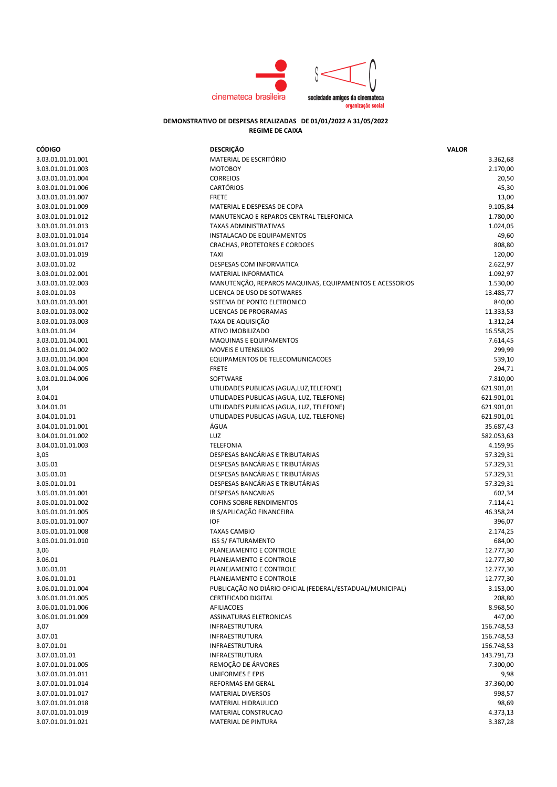

## **DEMONSTRATIVO DE DESPESAS REALIZADAS DE 01/01/2022 A 31/05/2022 REGIME DE CAIXA**

| <b>CÓDIGO</b>     | <b>DESCRIÇÃO</b>                                          | <b>VALOR</b> |
|-------------------|-----------------------------------------------------------|--------------|
| 3.03.01.01.01.001 | MATERIAL DE ESCRITÓRIO                                    | 3.362,68     |
| 3.03.01.01.01.003 | <b>MOTOBOY</b>                                            | 2.170,00     |
| 3.03.01.01.01.004 | <b>CORREIOS</b>                                           | 20,50        |
| 3.03.01.01.01.006 | <b>CARTÓRIOS</b>                                          | 45,30        |
| 3.03.01.01.01.007 | <b>FRETE</b>                                              | 13,00        |
| 3.03.01.01.01.009 | MATERIAL E DESPESAS DE COPA                               | 9.105,84     |
| 3.03.01.01.01.012 | MANUTENCAO E REPAROS CENTRAL TELEFONICA                   | 1.780,00     |
| 3.03.01.01.01.013 | <b>TAXAS ADMINISTRATIVAS</b>                              | 1.024,05     |
| 3.03.01.01.01.014 | INSTALACAO DE EQUIPAMENTOS                                | 49,60        |
| 3.03.01.01.01.017 | CRACHAS, PROTETORES E CORDOES                             | 808,80       |
| 3.03.01.01.01.019 | <b>TAXI</b>                                               | 120,00       |
| 3.03.01.01.02     | <b>DESPESAS COM INFORMATICA</b>                           | 2.622,97     |
| 3.03.01.01.02.001 | MATERIAL INFORMATICA                                      | 1.092,97     |
| 3.03.01.01.02.003 | MANUTENÇÃO, REPAROS MAQUINAS, EQUIPAMENTOS E ACESSORIOS   | 1.530,00     |
| 3.03.01.01.03     | LICENCA DE USO DE SOTWARES                                | 13.485,77    |
| 3.03.01.01.03.001 | SISTEMA DE PONTO ELETRONICO                               | 840,00       |
| 3.03.01.01.03.002 | LICENCAS DE PROGRAMAS                                     | 11.333,53    |
| 3.03.01.01.03.003 | TAXA DE AQUISIÇÃO                                         | 1.312,24     |
| 3.03.01.01.04     | ATIVO IMOBILIZADO                                         | 16.558,25    |
| 3.03.01.01.04.001 | <b>MAQUINAS E EQUIPAMENTOS</b>                            | 7.614,45     |
|                   | MOVEIS E UTENSILIOS                                       | 299,99       |
| 3.03.01.01.04.002 | EQUIPAMENTOS DE TELECOMUNICACOES                          |              |
| 3.03.01.01.04.004 | <b>FRETE</b>                                              | 539,10       |
| 3.03.01.01.04.005 |                                                           | 294,71       |
| 3.03.01.01.04.006 | SOFTWARE                                                  | 7.810,00     |
| 3,04              | UTILIDADES PUBLICAS (AGUA, LUZ, TELEFONE)                 | 621.901,01   |
| 3.04.01           | UTILIDADES PUBLICAS (AGUA, LUZ, TELEFONE)                 | 621.901,01   |
| 3.04.01.01        | UTILIDADES PUBLICAS (AGUA, LUZ, TELEFONE)                 | 621.901,01   |
| 3.04.01.01.01     | UTILIDADES PUBLICAS (AGUA, LUZ, TELEFONE)                 | 621.901,01   |
| 3.04.01.01.01.001 | ÁGUA                                                      | 35.687,43    |
| 3.04.01.01.01.002 | LUZ                                                       | 582.053,63   |
| 3.04.01.01.01.003 | <b>TELEFONIA</b>                                          | 4.159,95     |
| 3,05              | DESPESAS BANCÁRIAS E TRIBUTARIAS                          | 57.329,31    |
| 3.05.01           | DESPESAS BANCÁRIAS E TRIBUTÁRIAS                          | 57.329,31    |
| 3.05.01.01        | DESPESAS BANCÁRIAS E TRIBUTÁRIAS                          | 57.329,31    |
| 3.05.01.01.01     | DESPESAS BANCÁRIAS E TRIBUTÁRIAS                          | 57.329,31    |
| 3.05.01.01.01.001 | <b>DESPESAS BANCARIAS</b>                                 | 602,34       |
| 3.05.01.01.01.002 | <b>COFINS SOBRE RENDIMENTOS</b>                           | 7.114,41     |
| 3.05.01.01.01.005 | IR S/APLICAÇÃO FINANCEIRA                                 | 46.358,24    |
| 3.05.01.01.01.007 | <b>IOF</b>                                                | 396,07       |
| 3.05.01.01.01.008 | <b>TAXAS CAMBIO</b>                                       | 2.174,25     |
| 3.05.01.01.01.010 | <b>ISS S/ FATURAMENTO</b>                                 | 684,00       |
| 3,06              | PLANEJAMENTO E CONTROLE                                   | 12.777,30    |
| 3.06.01           | PLANEJAMENTO E CONTROLE                                   | 12.777,30    |
| 3.06.01.01        | PLANEJAMENTO E CONTROLE                                   | 12.777,30    |
| 3.06.01.01.01     | PLANEJAMENTO E CONTROLE                                   | 12.777,30    |
| 3.06.01.01.01.004 | PUBLICAÇÃO NO DIÁRIO OFICIAL (FEDERAL/ESTADUAL/MUNICIPAL) | 3.153,00     |
| 3.06.01.01.01.005 | <b>CERTIFICADO DIGITAL</b>                                | 208,80       |
| 3.06.01.01.01.006 | AFILIACOES                                                | 8.968,50     |
| 3.06.01.01.01.009 | ASSINATURAS ELETRONICAS                                   | 447,00       |
| 3,07              | INFRAESTRUTURA                                            | 156.748,53   |
| 3.07.01           | <b>INFRAESTRUTURA</b>                                     | 156.748,53   |
| 3.07.01.01        | <b>INFRAESTRUTURA</b>                                     | 156.748,53   |
| 3.07.01.01.01     | INFRAESTRUTURA                                            | 143.791,73   |
| 3.07.01.01.01.005 | REMOÇÃO DE ÁRVORES                                        | 7.300,00     |
| 3.07.01.01.01.011 | <b>UNIFORMES E EPIS</b>                                   | 9,98         |
| 3.07.01.01.01.014 | REFORMAS EM GERAL                                         | 37.360,00    |
| 3.07.01.01.01.017 | <b>MATERIAL DIVERSOS</b>                                  | 998,57       |
| 3.07.01.01.01.018 | MATERIAL HIDRAULICO                                       | 98,69        |
| 3.07.01.01.01.019 | MATERIAL CONSTRUCAO                                       | 4.373,13     |
| 3.07.01.01.01.021 | MATERIAL DE PINTURA                                       | 3.387,28     |